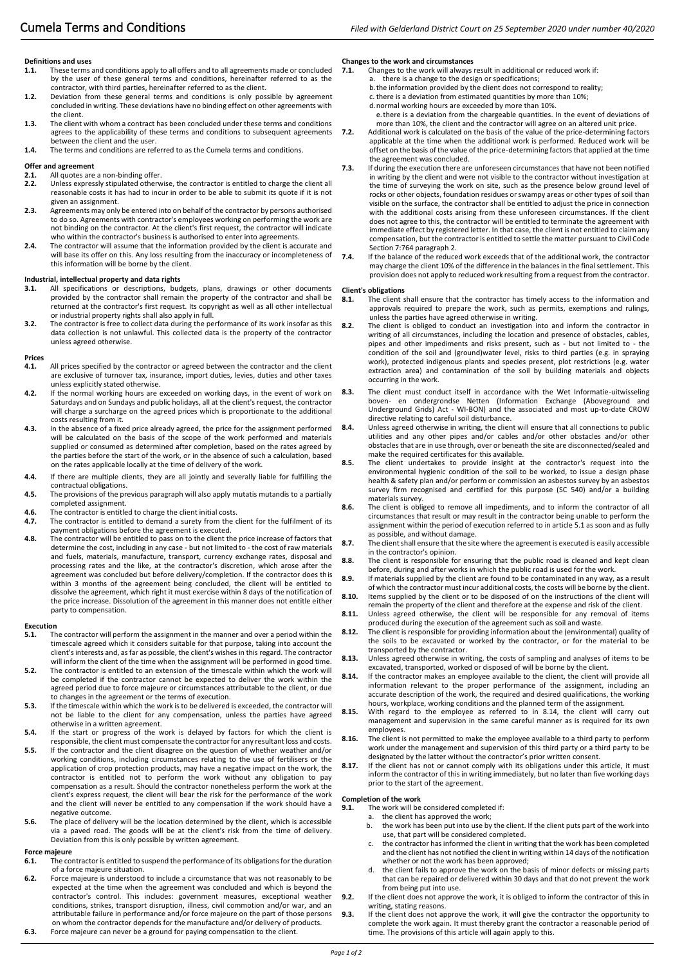# **Definitions and uses**

- **1.1.** These terms and conditions apply to all offers and to all agreements made or concluded by the user of these general terms and conditions, hereinafter referred to as the contractor, with third parties, hereinafter referred to as the client.
- **1.2.** Deviation from these general terms and conditions is only possible by agreement concluded in writing. These deviations have no binding effect on other agreements with the client.
- **1.3.** The client with whom a contract has been concluded under these terms and conditions agrees to the applicability of these terms and conditions to subsequent agreements 7.2. between the client and the user.
- **1.4.** The terms and conditions are referred to as the Cumela terms and conditions.

### **Offer and agreement**

### **2.1.** All quotes are a non-binding offer.<br>**2.2.** Unless expressly stipulated otherw

- **2.2.** Unless expressly stipulated otherwise, the contractor is entitled to charge the client all reasonable costs it has had to incur in order to be able to submit its quote if it is not given an assignment.
- **2.3.** Agreements may only be entered into on behalf of the contractor by persons authorised to do so. Agreements with contractor's employees working on performing the work are not binding on the contractor. At the client's first request, the contractor will indicate who within the contractor's business is authorised to enter into agreements.
- **2.4.** The contractor will assume that the information provided by the client is accurate and will base its offer on this. Any loss resulting from the inaccuracy or incompleteness of this information will be borne by the client.

## **Industrial, intellectual property and data rights**

- **3.1.** All specifications or descriptions, budgets, plans, drawings or other documents provided by the contractor shall remain the property of the contractor and shall be returned at the contractor's first request. Its copyright as well as all other intellectual or industrial property rights shall also apply in full.
- **3.2.** The contractor is free to collect data during the performance of its work insofar as this data collection is not unlawful. This collected data is the property of the contractor unless agreed otherwise.

## **Prices**

- **4.1.** All prices specified by the contractor or agreed between the contractor and the client are exclusive of turnover tax, insurance, import duties, levies, duties and other taxes unless explicitly stated otherwise.
- **4.2.** If the normal working hours are exceeded on working days, in the event of work on Saturdays and on Sundays and public holidays, all at the client's request, the contractor will charge a surcharge on the agreed prices which is proportionate to the additional costs resulting from it.
- **4.3.** In the absence of a fixed price already agreed, the price for the assignment performed will be calculated on the basis of the scope of the work performed and materials supplied or consumed as determined after completion, based on the rates agreed by the parties before the start of the work, or in the absence of such a calculation, based on the rates applicable locally at the time of delivery of the work.
- **4.4.** If there are multiple clients, they are all jointly and severally liable for fulfilling the contractual obligations.
- **4.5.** The provisions of the previous paragraph will also apply mutatis mutandis to a partially completed assignment.
- **4.6.** The contractor is entitled to charge the client initial costs.<br>**4.7.** The contractor is entitled to demand a surety from the our
- **4.7.** The contractor is entitled to demand a surety from the client for the fulfilment of its
- payment obligations before the agreement is executed. **4.8.** The contractor will be entitled to pass on to the client the price increase of factors that determine the cost, including in any case - but not limited to - the cost of raw materials and fuels, materials, manufacture, transport, currency exchange rates, disposal and processing rates and the like, at the contractor's discretion, which arose after the agreement was concluded but before delivery/completion. If the contractor does this within 3 months of the agreement being concluded, the client will be entitled to dissolve the agreement, which right it must exercise within 8 days of the notification of the price increase. Dissolution of the agreement in this manner does not entitle either party to compensation.

## **Execution**<br>5.1. Th

- **5.1.** The contractor will perform the assignment in the manner and over a period within the timescale agreed which it considers suitable for that purpose, taking into account the client's interests and, as far as possible, the client's wishes in this regard. The contractor will inform the client of the time when the assignment will be performed in good time.
- **5.2.** The contractor is entitled to an extension of the timescale within which the work will be completed if the contractor cannot be expected to deliver the work within the agreed period due to force majeure or circumstances attributable to the client, or due to changes in the agreement or the terms of execution.
- **5.3.** If the timescale within which the work is to be delivered is exceeded, the contractor will not be liable to the client for any compensation, unless the parties have agreed otherwise in a written agreement.
- **5.4.** If the start or progress of the work is delayed by factors for which the client is responsible, the client must compensate the contractor for any resultant loss and costs.
- **5.5.** If the contractor and the client disagree on the question of whether weather and/or working conditions, including circumstances relating to the use of fertilisers or the application of crop protection products, may have a negative impact on the work, the contractor is entitled not to perform the work without any obligation to pay compensation as a result. Should the contractor nonetheless perform the work at the compensation as a result shealth and the comparation monetheress performance of the work<br>client's express request, the client will bear the risk for the performance of the work and the client will never be entitled to any compensation if the work should have a negative outcome.
- **5.6.** The place of delivery will be the location determined by the client, which is accessible via a paved road. The goods will be at the client's risk from the time of delivery. Deviation from this is only possible by written agreement.

#### **Force majeure**

- **6.1.** The contractor is entitled to suspend the performance of its obligations for the duration of a force majeure situation.
- **6.2.** Force majeure is understood to include a circumstance that was not reasonably to be expected at the time when the agreement was concluded and which is beyond the contractor's control. This includes: government measures, exceptional weather conditions, strikes, transport disruption, illness, civil commotion and/or war, and an attributable failure in performance and/or force majeure on the part of those persons on whom the contractor depends for the manufacture and/or delivery of products.
- **6.3.** Force majeure can never be a ground for paying compensation to the client.

# **Changes to the work and circumstances**<br>**7.1.** Changes to the work will always i

- **7.1.** Changes to the work will always result in additional or reduced work if:
	- a. there is a change to the design or specifications; b.the information provided by the client does not correspond to reality;
	- c. there is a deviation from estimated quantities by more than 10%;
	- d.normal working hours are exceeded by more than 10%. e.there is a deviation from the chargeable quantities. In the event of deviations of
- more than 10%, the client and the contractor will agree on an altered unit price. **7.2.** Additional work is calculated on the basis of the value of the price-determining factors
	- applicable at the time when the additional work is performed. Reduced work will be offset on the basis of the value of the price-determining factors that applied at the time the agreement was concluded.
- **7.3.** If during the execution there are unforeseen circumstances that have not been notified in writing by the client and were not visible to the contractor without investigation at the time of surveying the work on site, such as the presence below ground level of rocks or other objects, foundation residues or swampy areas or other types of soil than visible on the surface, the contractor shall be entitled to adjust the price in connection with the additional costs arising from these unforeseen circumstances. If the client does not agree to this, the contractor will be entitled to terminate the agreement with immediate effect by registered letter. In that case, the client is not entitled to claim any compensation, but the contractor is entitled to settle the matter pursuant to Civil Code Section 7:764 paragraph 2.
- **7.4.** If the balance of the reduced work exceeds that of the additional work, the contractor may charge the client 10% of the difference in the balances in the final settlement. This provision does not apply to reduced work resulting from a request from the contractor.

#### **Client's obligations**

- **8.1.** The client shall ensure that the contractor has timely access to the information and approvals required to prepare the work, such as permits, exemptions and rulings, unless the parties have agreed otherwise in writing.
- **8.2.** The client is obliged to conduct an investigation into and inform the contractor in writing of all circumstances, including the location and presence of obstacles, cables, pipes and other impediments and risks present, such as - but not limited to - the condition of the soil and (ground)water level, risks to third parties (e.g. in spraying work), protected indigenous plants and species present, plot restrictions (e.g. water extraction area) and contamination of the soil by building materials and objects occurring in the work.
- **8.3.** The client must conduct itself in accordance with the Wet Informatie-uitwisseling boven- en ondergrondse Netten (Information Exchange (Aboveground and Underground Grids) Act - WI-BON) and the associated and most up-to-date CROW directive relating to careful soil disturbance.
- **8.4.** Unless agreed otherwise in writing, the client will ensure that all connections to public utilities and any other pipes and/or cables and/or other obstacles and/or other obstacles that are in use through, over or beneath the site are disconnected/sealed and make the required certificates for this available.
- **8.5.** The client undertakes to provide insight at the contractor's request into the environmental hygienic condition of the soil to be worked, to issue a design phase health & safety plan and/or perform or commission an asbestos survey by an asbestos survey firm recognised and certified for this purpose (SC 540) and/or a building materials survey.
- **8.6.** The client is obliged to remove all impediments, and to inform the contractor of all circumstances that result or may result in the contractor being unable to perform the assignment within the period of execution referred to in article 5.1 as soon and as fully as possible, and without damage.
- **8.7.** The client shall ensure that the site where the agreement is executed is easily accessible in the contractor's opinion.
- **8.8.** The client is responsible for ensuring that the public road is cleaned and kept clean before, during and after works in which the public road is used for the work.
- **8.9.** If materials supplied by the client are found to be contaminated in any way, as a result of which the contractor must incur additional costs, the costs will be borne by the client.
- **8.10.** Items supplied by the client or to be disposed of on the instructions of the client will remain the property of the client and therefore at the expense and risk of the client. 8.11. Unless agreed otherwise, the client will be responsible for any removal of items
- produced during the execution of the agreement such as soil and waste.
- **8.12.** The client is responsible for providing information about the (environmental) quality of the soils to be excavated or worked by the contractor, or for the material to be transported by the contractor.
- **8.13.** Unless agreed otherwise in writing, the costs of sampling and analyses of items to be
- excavated, transported, worked or disposed of will be borne by the client. **8.14.** If the contractor makes an employee available to the client, the client will provide all information relevant to the proper performance of the assignment, including an accurate description of the work, the required and desired qualifications, the working hours, workplace, working conditions and the planned term of the assignment.
- **8.15.** With regard to the employee as referred to in 8.14, the client will carry out management and supervision in the same careful manner as is required for its own employees.
- **8.16.** The client is not permitted to make the employee available to a third party to perform work under the management and supervision of this third party or a third party to be designated by the latter without the contractor's prior written consent.
- **8.17.** If the client has not or cannot comply with its obligations under this article, it must inform the contractor of this in writing immediately, but no later than five working days prior to the start of the agreement.

### **Completion of the work**

- **9.1.** The work will be considered completed if:
	- a. the client has approved the work;<br>b. the work has been put into use by
	- the work has been put into use by the client. If the client puts part of the work into use, that part will be considered completed.
	- c. the contractor has informed the client in writing that the work has been completed and the client has not notified the client in writing within 14 days of the notification whether or not the work has been approved;
	- d. the client fails to approve the work on the basis of minor defects or missing parts that can be repaired or delivered within 30 days and that do not prevent the work from being put into use.
- **9.2.** If the client does not approve the work, it is obliged to inform the contractor of this in writing, stating reasons.
- **9.3.** If the client does not approve the work, it will give the contractor the opportunity to complete the work again. It must thereby grant the contractor a reasonable period of time. The provisions of this article will again apply to this.